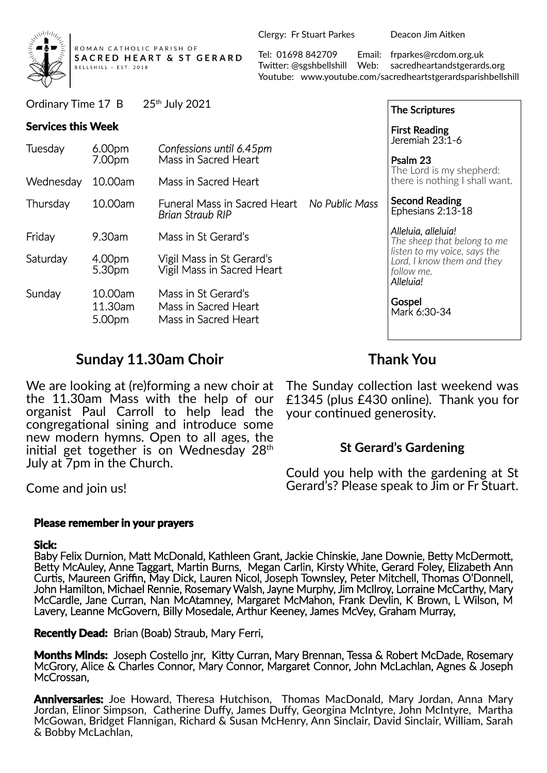

ROMAN CATHOLIC PARISH OF SACRED HEART & ST GERARD BELLSHILL ~ EST. 2018

Ordinary Time 17 B 25th July 2021

Clergy: Fr Stuart Parkes Deacon Jim Aitken

Tel: 01698 842709 Email: frparkes@rcdom.org.uk Twi�er: @sgshbellshill Web: sacredheartandstgerards.org Youtube: www.youtube.com/sacredheartstgerardsparishbellshill

| Ordinary Time 17 B        |                              | 25th July 2021                                                      |                | <b>The Scriptures</b>                                                                                                                                                 |
|---------------------------|------------------------------|---------------------------------------------------------------------|----------------|-----------------------------------------------------------------------------------------------------------------------------------------------------------------------|
| <b>Services this Week</b> |                              |                                                                     |                | <b>First Reading</b>                                                                                                                                                  |
| Tuesday                   | 6.00 <sub>pm</sub><br>7.00pm | Confessions until 6.45pm<br>Mass in Sacred Heart                    |                | Jeremiah 23:1-6<br>Psalm 23<br>The Lord is my shepherd:<br>there is nothing I shall want.                                                                             |
| Wednesday                 | 10.00am                      | Mass in Sacred Heart                                                |                |                                                                                                                                                                       |
| Thursday                  | 10.00am                      | Funeral Mass in Sacred Heart<br><b>Brian Straub RIP</b>             | No Public Mass | <b>Second Reading</b><br>Ephesians 2:13-18                                                                                                                            |
| Friday                    | 9.30am                       | Mass in St Gerard's                                                 |                | Alleluia, alleluia!<br>The sheep that belong to me<br>listen to my voice, says the<br>Lord, I know them and they<br>follow me.<br>Alleluia!<br>Gospel<br>Mark 6:30-34 |
| Saturday                  | 4.00pm<br>5.30pm             | Vigil Mass in St Gerard's<br>Vigil Mass in Sacred Heart             |                |                                                                                                                                                                       |
| Sunday                    | 10.00am<br>11.30am<br>5.00pm | Mass in St Gerard's<br>Mass in Sacred Heart<br>Mass in Sacred Heart |                |                                                                                                                                                                       |

# **Sunday 11.30am Choir**

We are looking at (re)forming a new choir at the 11.30am Mass with the help of our organist Paul Carroll to help lead the congregational sining and introduce some new modern hymns. Open to all ages, the initial get together is on Wednesday  $28<sup>th</sup>$ July at 7pm in the Church.

**Thank You**

The Sunday collection last weekend was £1345 (plus £430 online). Thank you for your continued generosity.

# **St Gerard's Gardening**

Could you help with the gardening at St Gerard's? Please speak to Jim or Fr Stuart.

Come and join us!

#### **Please remember in your prayers**

#### **Sick:**

Baby Felix Durnion, Matt McDonald, Kathleen Grant, Jackie Chinskie, Jane Downie, Betty McDermott, Betty McAuley, Anne Taggart, Martin Burns, Megan Carlin, Kirsty White, Gerard Foley, Elizabeth Ann Curtis, Maureen Griffin, May Dick, Lauren Nicol, Joseph Townsley, Peter Mitchell, Thomas O'Donnell, John Hamilton, Michael Rennie, Rosemary Walsh, Jayne Murphy, Jim McIlroy, Lorraine McCarthy, Mary McCardle, Jane Curran, Nan McAtamney, Margaret McMahon, Frank Devlin, K Brown, L Wilson, M Lavery, Leanne McGovern, Billy Mosedale, Arthur Keeney, James McVey, Graham Murray,

**Recently Dead:** Brian (Boab) Straub, Mary Ferri,

**Months Minds:** Joseph Costello jnr, Kitty Curran, Mary Brennan, Tessa & Robert McDade, Rosemary McGrory, Alice & Charles Connor, Mary Connor, Margaret Connor, John McLachlan, Agnes & Joseph McCrossan,

**Anniversaries:** Joe Howard, Theresa Hutchison, Thomas MacDonald, Mary Jordan, Anna Mary Jordan, Elinor Simpson, Catherine Duffy, James Duffy, Georgina McIntyre, John McIntyre, Martha McGowan, Bridget Flannigan, Richard & Susan McHenry, Ann Sinclair, David Sinclair, William, Sarah & Bobby McLachlan,